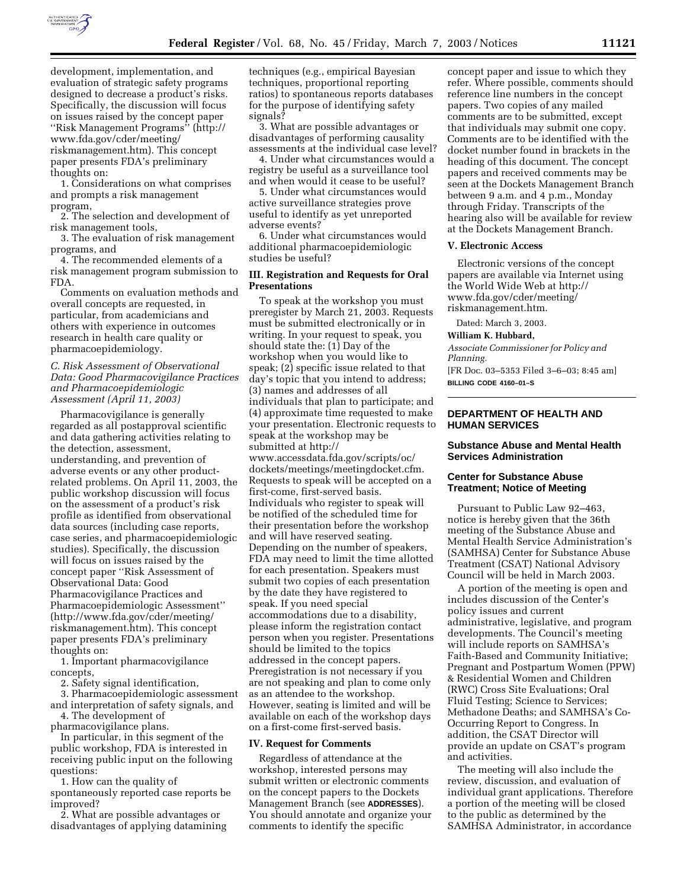

development, implementation, and evaluation of strategic safety programs designed to decrease a product's risks. Specifically, the discussion will focus on issues raised by the concept paper ''Risk Management Programs'' (http:// www.fda.gov/cder/meeting/ riskmanagement.htm). This concept paper presents FDA's preliminary thoughts on:

1. Considerations on what comprises and prompts a risk management program,

2. The selection and development of risk management tools,

3. The evaluation of risk management programs, and

4. The recommended elements of a risk management program submission to FDA.

Comments on evaluation methods and overall concepts are requested, in particular, from academicians and others with experience in outcomes research in health care quality or pharmacoepidemiology.

# *C. Risk Assessment of Observational Data: Good Pharmacovigilance Practices and Pharmacoepidemiologic Assessment (April 11, 2003)*

Pharmacovigilance is generally regarded as all postapproval scientific and data gathering activities relating to the detection, assessment, understanding, and prevention of adverse events or any other productrelated problems. On April 11, 2003, the public workshop discussion will focus on the assessment of a product's risk profile as identified from observational data sources (including case reports, case series, and pharmacoepidemiologic studies). Specifically, the discussion will focus on issues raised by the concept paper ''Risk Assessment of Observational Data: Good Pharmacovigilance Practices and Pharmacoepidemiologic Assessment'' (http://www.fda.gov/cder/meeting/ riskmanagement.htm). This concept paper presents FDA's preliminary thoughts on:

1. Important pharmacovigilance concepts,

2. Safety signal identification,

3. Pharmacoepidemiologic assessment and interpretation of safety signals, and

4. The development of pharmacovigilance plans.

In particular, in this segment of the public workshop, FDA is interested in receiving public input on the following questions:

1. How can the quality of spontaneously reported case reports be improved?

2. What are possible advantages or disadvantages of applying datamining techniques (e.g., empirical Bayesian techniques, proportional reporting ratios) to spontaneous reports databases for the purpose of identifying safety signals?

3. What are possible advantages or disadvantages of performing causality assessments at the individual case level?

4. Under what circumstances would a registry be useful as a surveillance tool and when would it cease to be useful?

5. Under what circumstances would active surveillance strategies prove useful to identify as yet unreported adverse events?

6. Under what circumstances would additional pharmacoepidemiologic studies be useful?

# **III. Registration and Requests for Oral Presentations**

To speak at the workshop you must preregister by March 21, 2003. Requests must be submitted electronically or in writing. In your request to speak, you should state the: (1) Day of the workshop when you would like to speak; (2) specific issue related to that day's topic that you intend to address; (3) names and addresses of all individuals that plan to participate; and (4) approximate time requested to make your presentation. Electronic requests to speak at the workshop may be submitted at http:// www.accessdata.fda.gov/scripts/oc/ dockets/meetings/meetingdocket.cfm. Requests to speak will be accepted on a first-come, first-served basis. Individuals who register to speak will be notified of the scheduled time for their presentation before the workshop and will have reserved seating. Depending on the number of speakers, FDA may need to limit the time allotted for each presentation. Speakers must submit two copies of each presentation by the date they have registered to speak. If you need special accommodations due to a disability, please inform the registration contact person when you register. Presentations should be limited to the topics addressed in the concept papers. Preregistration is not necessary if you are not speaking and plan to come only as an attendee to the workshop. However, seating is limited and will be available on each of the workshop days on a first-come first-served basis.

# **IV. Request for Comments**

Regardless of attendance at the workshop, interested persons may submit written or electronic comments on the concept papers to the Dockets Management Branch (see **ADDRESSES**). You should annotate and organize your comments to identify the specific

concept paper and issue to which they refer. Where possible, comments should reference line numbers in the concept papers. Two copies of any mailed comments are to be submitted, except that individuals may submit one copy. Comments are to be identified with the docket number found in brackets in the heading of this document. The concept papers and received comments may be seen at the Dockets Management Branch between 9 a.m. and 4 p.m., Monday through Friday. Transcripts of the hearing also will be available for review at the Dockets Management Branch.

#### **V. Electronic Access**

Electronic versions of the concept papers are available via Internet using the World Wide Web at http:// www.fda.gov/cder/meeting/ riskmanagement.htm.

Dated: March 3, 2003.

# **William K. Hubbard,**

*Associate Commissioner for Policy and Planning.*

[FR Doc. 03–5353 Filed 3–6–03; 8:45 am] **BILLING CODE 4160–01–S**

# **DEPARTMENT OF HEALTH AND HUMAN SERVICES**

# **Substance Abuse and Mental Health Services Administration**

# **Center for Substance Abuse Treatment; Notice of Meeting**

Pursuant to Public Law 92–463, notice is hereby given that the 36th meeting of the Substance Abuse and Mental Health Service Administration's (SAMHSA) Center for Substance Abuse Treatment (CSAT) National Advisory Council will be held in March 2003.

A portion of the meeting is open and includes discussion of the Center's policy issues and current administrative, legislative, and program developments. The Council's meeting will include reports on SAMHSA's Faith-Based and Community Initiative; Pregnant and Postpartum Women (PPW) & Residential Women and Children (RWC) Cross Site Evaluations; Oral Fluid Testing; Science to Services; Methadone Deaths; and SAMHSA's Co-Occurring Report to Congress. In addition, the CSAT Director will provide an update on CSAT's program and activities.

The meeting will also include the review, discussion, and evaluation of individual grant applications. Therefore a portion of the meeting will be closed to the public as determined by the SAMHSA Administrator, in accordance